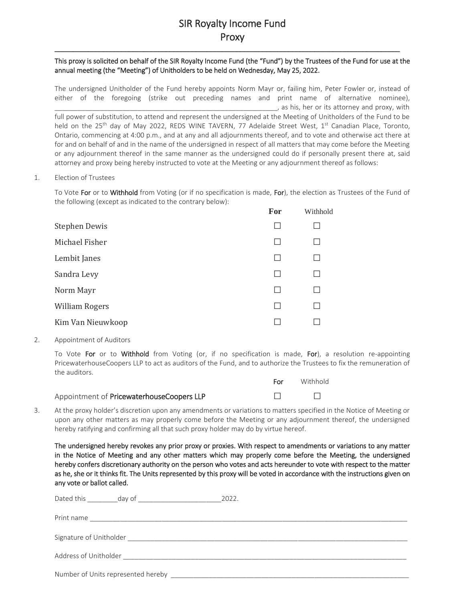# SIR Royalty Income Fund Proxy

\_\_\_\_\_\_\_\_\_\_\_\_\_\_\_\_\_\_\_\_\_\_\_\_\_\_\_\_\_\_\_\_\_\_\_\_\_\_\_\_\_\_\_\_\_\_\_\_\_\_\_\_\_\_\_\_\_\_\_\_\_\_\_\_\_\_\_\_\_\_\_\_\_\_\_\_\_\_\_\_\_\_\_\_\_\_\_\_\_\_\_\_\_

## This proxy is solicited on behalf of the SIR Royalty Income Fund (the "Fund") by the Trustees of the Fund for use at the annual meeting (the "Meeting") of Unitholders to be held on Wednesday, May 25, 2022.

The undersigned Unitholder of the Fund hereby appoints Norm Mayr or, failing him, Peter Fowler or, instead of either of the foregoing (strike out preceding names and print name of alternative nominee),  $\Box$ , as his, her or its attorney and proxy, with full power of substitution, to attend and represent the undersigned at the Meeting of Unitholders of the Fund to be held on the 25<sup>th</sup> day of May 2022, REDS WINE TAVERN, 77 Adelaide Street West, 1<sup>st</sup> Canadian Place, Toronto, Ontario, commencing at 4:00 p.m., and at any and all adjournments thereof, and to vote and otherwise act there at for and on behalf of and in the name of the undersigned in respect of all matters that may come before the Meeting or any adjournment thereof in the same manner as the undersigned could do if personally present there at, said attorney and proxy being hereby instructed to vote at the Meeting or any adjournment thereof as follows:

#### 1. Election of Trustees

To Vote For or to Withhold from Voting (or if no specification is made, For), the election as Trustees of the Fund of the following (except as indicated to the contrary below):

|                       | For | Withhold |
|-----------------------|-----|----------|
| <b>Stephen Dewis</b>  |     |          |
| Michael Fisher        |     |          |
| Lembit Janes          |     |          |
| Sandra Levy           |     |          |
| Norm Mayr             |     |          |
| <b>William Rogers</b> |     |          |
| Kim Van Nieuwkoop     |     |          |

## 2. Appointment of Auditors

To Vote For or to Withhold from Voting (or, if no specification is made, For), a resolution re-appointing PricewaterhouseCoopers LLP to act as auditors of the Fund, and to authorize the Trustees to fix the remuneration of the auditors.

|                                           | For. | Withhold |
|-------------------------------------------|------|----------|
| Appointment of PricewaterhouseCoopers LLP |      |          |

3. At the proxy holder's discretion upon any amendments or variations to matters specified in the Notice of Meeting or upon any other matters as may properly come before the Meeting or any adjournment thereof, the undersigned hereby ratifying and confirming all that such proxy holder may do by virtue hereof.

The undersigned hereby revokes any prior proxy or proxies. With respect to amendments or variations to any matter in the Notice of Meeting and any other matters which may properly come before the Meeting, the undersigned hereby confers discretionary authority on the person who votes and acts hereunder to vote with respect to the matter as he, she or it thinks fit. The Units represented by this proxy will be voted in accordance with the instructions given on any vote or ballot called.

|                       |                                                            | 2022.                                                                                                                                                                                                                                |
|-----------------------|------------------------------------------------------------|--------------------------------------------------------------------------------------------------------------------------------------------------------------------------------------------------------------------------------------|
|                       |                                                            |                                                                                                                                                                                                                                      |
|                       |                                                            |                                                                                                                                                                                                                                      |
| Address of Unitholder | <u> 1980 - Johann John Stein, fransk politik (f. 1980)</u> |                                                                                                                                                                                                                                      |
|                       |                                                            | Number of Units represented hereby <b>with a set of the contract of the contract of the contract of the contract of the contract of the contract of the contract of the contract of the contract of the contract of the contract</b> |